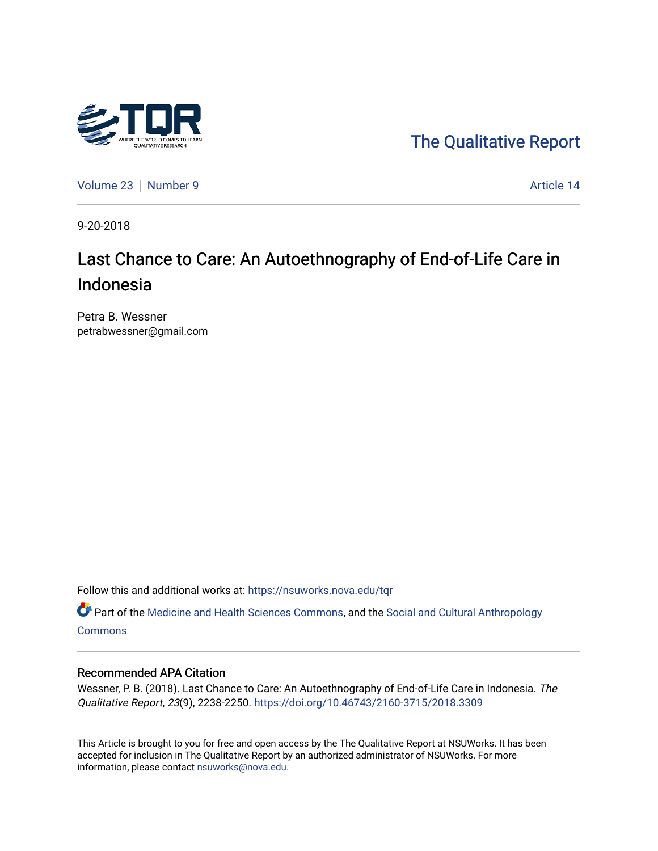

[The Qualitative Report](https://nsuworks.nova.edu/tqr) 

[Volume 23](https://nsuworks.nova.edu/tqr/vol23) [Number 9](https://nsuworks.nova.edu/tqr/vol23/iss9) Article 14

9-20-2018

# Last Chance to Care: An Autoethnography of End-of-Life Care in Indonesia

Petra B. Wessner petrabwessner@gmail.com

Follow this and additional works at: [https://nsuworks.nova.edu/tqr](https://nsuworks.nova.edu/tqr?utm_source=nsuworks.nova.edu%2Ftqr%2Fvol23%2Fiss9%2F14&utm_medium=PDF&utm_campaign=PDFCoverPages) 

Part of the [Medicine and Health Sciences Commons,](http://network.bepress.com/hgg/discipline/648?utm_source=nsuworks.nova.edu%2Ftqr%2Fvol23%2Fiss9%2F14&utm_medium=PDF&utm_campaign=PDFCoverPages) and the [Social and Cultural Anthropology](http://network.bepress.com/hgg/discipline/323?utm_source=nsuworks.nova.edu%2Ftqr%2Fvol23%2Fiss9%2F14&utm_medium=PDF&utm_campaign=PDFCoverPages)  **[Commons](http://network.bepress.com/hgg/discipline/323?utm_source=nsuworks.nova.edu%2Ftqr%2Fvol23%2Fiss9%2F14&utm_medium=PDF&utm_campaign=PDFCoverPages)** 

#### Recommended APA Citation

Wessner, P. B. (2018). Last Chance to Care: An Autoethnography of End-of-Life Care in Indonesia. The Qualitative Report, 23(9), 2238-2250. <https://doi.org/10.46743/2160-3715/2018.3309>

This Article is brought to you for free and open access by the The Qualitative Report at NSUWorks. It has been accepted for inclusion in The Qualitative Report by an authorized administrator of NSUWorks. For more information, please contact [nsuworks@nova.edu.](mailto:nsuworks@nova.edu)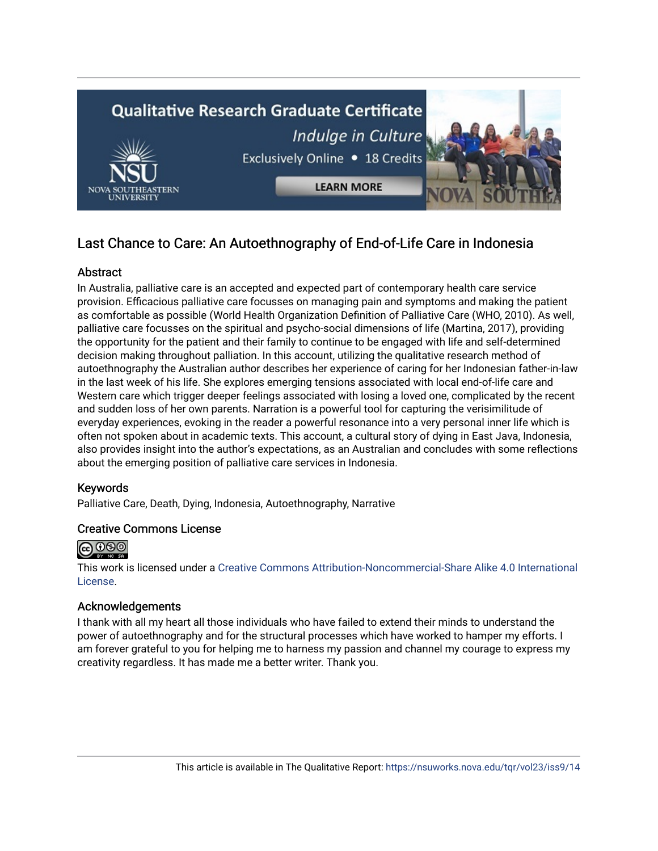

## Last Chance to Care: An Autoethnography of End-of-Life Care in Indonesia

## **Abstract**

In Australia, palliative care is an accepted and expected part of contemporary health care service provision. Efficacious palliative care focusses on managing pain and symptoms and making the patient as comfortable as possible (World Health Organization Definition of Palliative Care (WHO, 2010). As well, palliative care focusses on the spiritual and psycho-social dimensions of life (Martina, 2017), providing the opportunity for the patient and their family to continue to be engaged with life and self-determined decision making throughout palliation. In this account, utilizing the qualitative research method of autoethnography the Australian author describes her experience of caring for her Indonesian father-in-law in the last week of his life. She explores emerging tensions associated with local end-of-life care and Western care which trigger deeper feelings associated with losing a loved one, complicated by the recent and sudden loss of her own parents. Narration is a powerful tool for capturing the verisimilitude of everyday experiences, evoking in the reader a powerful resonance into a very personal inner life which is often not spoken about in academic texts. This account, a cultural story of dying in East Java, Indonesia, also provides insight into the author's expectations, as an Australian and concludes with some reflections about the emerging position of palliative care services in Indonesia.

## Keywords

Palliative Care, Death, Dying, Indonesia, Autoethnography, Narrative

## Creative Commons License



This work is licensed under a [Creative Commons Attribution-Noncommercial-Share Alike 4.0 International](https://creativecommons.org/licenses/by-nc-sa/4.0/)  [License](https://creativecommons.org/licenses/by-nc-sa/4.0/).

## Acknowledgements

I thank with all my heart all those individuals who have failed to extend their minds to understand the power of autoethnography and for the structural processes which have worked to hamper my efforts. I am forever grateful to you for helping me to harness my passion and channel my courage to express my creativity regardless. It has made me a better writer. Thank you.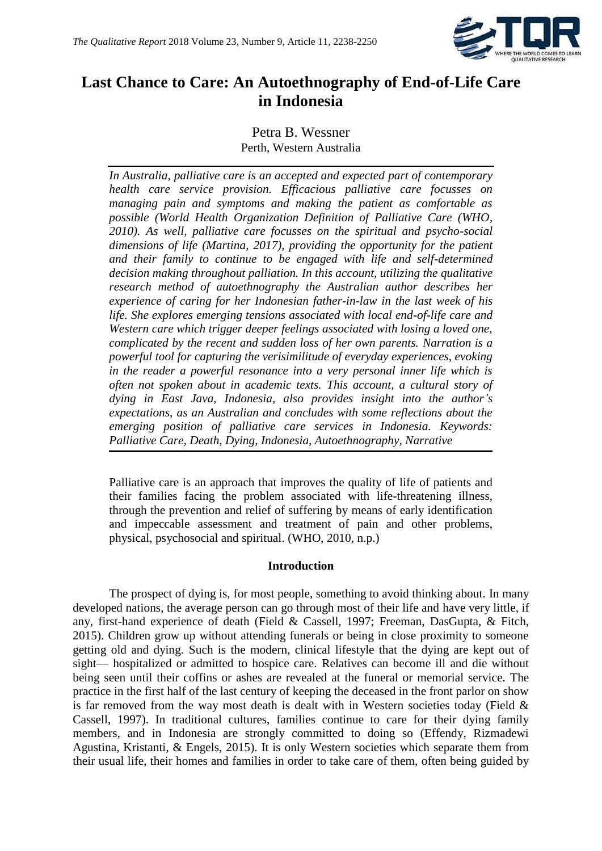

## **Last Chance to Care: An Autoethnography of End-of-Life Care in Indonesia**

## Petra B. Wessner Perth, Western Australia

*In Australia, palliative care is an accepted and expected part of contemporary health care service provision. Efficacious palliative care focusses on managing pain and symptoms and making the patient as comfortable as possible (World Health Organization Definition of Palliative Care (WHO, 2010). As well, palliative care focusses on the spiritual and psycho-social dimensions of life (Martina, 2017), providing the opportunity for the patient and their family to continue to be engaged with life and self-determined decision making throughout palliation. In this account, utilizing the qualitative research method of autoethnography the Australian author describes her experience of caring for her Indonesian father-in-law in the last week of his life. She explores emerging tensions associated with local end-of-life care and Western care which trigger deeper feelings associated with losing a loved one, complicated by the recent and sudden loss of her own parents. Narration is a powerful tool for capturing the verisimilitude of everyday experiences, evoking in the reader a powerful resonance into a very personal inner life which is often not spoken about in academic texts. This account, a cultural story of dying in East Java, Indonesia, also provides insight into the author's expectations, as an Australian and concludes with some reflections about the emerging position of palliative care services in Indonesia. Keywords: Palliative Care, Death, Dying, Indonesia, Autoethnography, Narrative*

Palliative care is an approach that improves the quality of life of patients and their families facing the problem associated with life-threatening illness, through the prevention and relief of suffering by means of early identification and impeccable assessment and treatment of pain and other problems, physical, psychosocial and spiritual. (WHO, 2010, n.p.)

## **Introduction**

The prospect of dying is, for most people, something to avoid thinking about. In many developed nations, the average person can go through most of their life and have very little, if any, first-hand experience of death (Field & Cassell, 1997; Freeman, DasGupta, & Fitch, 2015). Children grow up without attending funerals or being in close proximity to someone getting old and dying. Such is the modern, clinical lifestyle that the dying are kept out of sight— hospitalized or admitted to hospice care. Relatives can become ill and die without being seen until their coffins or ashes are revealed at the funeral or memorial service. The practice in the first half of the last century of keeping the deceased in the front parlor on show is far removed from the way most death is dealt with in Western societies today (Field  $\&$ Cassell, 1997). In traditional cultures, families continue to care for their dying family members, and in Indonesia are strongly committed to doing so (Effendy, Rizmadewi Agustina, Kristanti, & Engels, 2015). It is only Western societies which separate them from their usual life, their homes and families in order to take care of them, often being guided by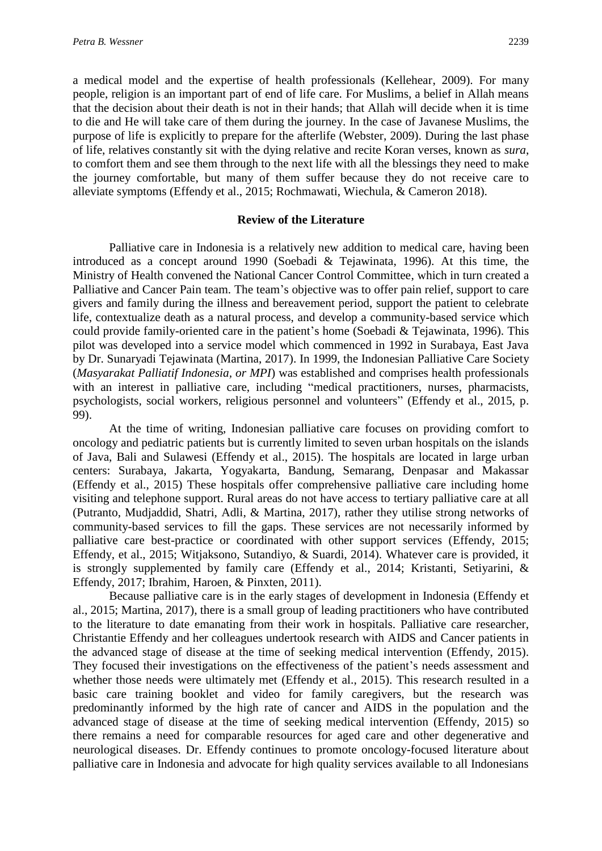a medical model and the expertise of health professionals (Kellehear, 2009). For many people, religion is an important part of end of life care. For Muslims, a belief in Allah means that the decision about their death is not in their hands; that Allah will decide when it is time to die and He will take care of them during the journey. In the case of Javanese Muslims, the purpose of life is explicitly to prepare for the afterlife (Webster, 2009). During the last phase of life, relatives constantly sit with the dying relative and recite Koran verses, known as *sura*, to comfort them and see them through to the next life with all the blessings they need to make the journey comfortable, but many of them suffer because they do not receive care to alleviate symptoms (Effendy et al., 2015; Rochmawati, Wiechula, & Cameron 2018).

#### **Review of the Literature**

Palliative care in Indonesia is a relatively new addition to medical care, having been introduced as a concept around 1990 (Soebadi & Tejawinata, 1996). At this time, the Ministry of Health convened the National Cancer Control Committee, which in turn created a Palliative and Cancer Pain team. The team's objective was to offer pain relief, support to care givers and family during the illness and bereavement period, support the patient to celebrate life, contextualize death as a natural process, and develop a community-based service which could provide family-oriented care in the patient's home (Soebadi & Tejawinata, 1996). This pilot was developed into a service model which commenced in 1992 in Surabaya, East Java by Dr. Sunaryadi Tejawinata (Martina, 2017). In 1999, the Indonesian Palliative Care Society (*Masyarakat Palliatif Indonesia, or MPI*) was established and comprises health professionals with an interest in palliative care, including "medical practitioners, nurses, pharmacists, psychologists, social workers, religious personnel and volunteers" (Effendy et al., 2015, p. 99).

At the time of writing, Indonesian palliative care focuses on providing comfort to oncology and pediatric patients but is currently limited to seven urban hospitals on the islands of Java, Bali and Sulawesi (Effendy et al., 2015). The hospitals are located in large urban centers: Surabaya, Jakarta, Yogyakarta, Bandung, Semarang, Denpasar and Makassar (Effendy et al., 2015) These hospitals offer comprehensive palliative care including home visiting and telephone support. Rural areas do not have access to tertiary palliative care at all (Putranto, Mudjaddid, Shatri, Adli, & Martina, 2017), rather they utilise strong networks of community-based services to fill the gaps. These services are not necessarily informed by palliative care best-practice or coordinated with other support services (Effendy, 2015; Effendy, et al., 2015; Witjaksono, Sutandiyo, & Suardi, 2014). Whatever care is provided, it is strongly supplemented by family care (Effendy et al., 2014; Kristanti, Setiyarini, & Effendy, 2017; Ibrahim, Haroen, & Pinxten, 2011).

Because palliative care is in the early stages of development in Indonesia (Effendy et al., 2015; Martina, 2017), there is a small group of leading practitioners who have contributed to the literature to date emanating from their work in hospitals. Palliative care researcher, Christantie Effendy and her colleagues undertook research with AIDS and Cancer patients in the advanced stage of disease at the time of seeking medical intervention (Effendy, 2015). They focused their investigations on the effectiveness of the patient's needs assessment and whether those needs were ultimately met (Effendy et al., 2015). This research resulted in a basic care training booklet and video for family caregivers, but the research was predominantly informed by the high rate of cancer and AIDS in the population and the advanced stage of disease at the time of seeking medical intervention (Effendy, 2015) so there remains a need for comparable resources for aged care and other degenerative and neurological diseases. Dr. Effendy continues to promote oncology-focused literature about palliative care in Indonesia and advocate for high quality services available to all Indonesians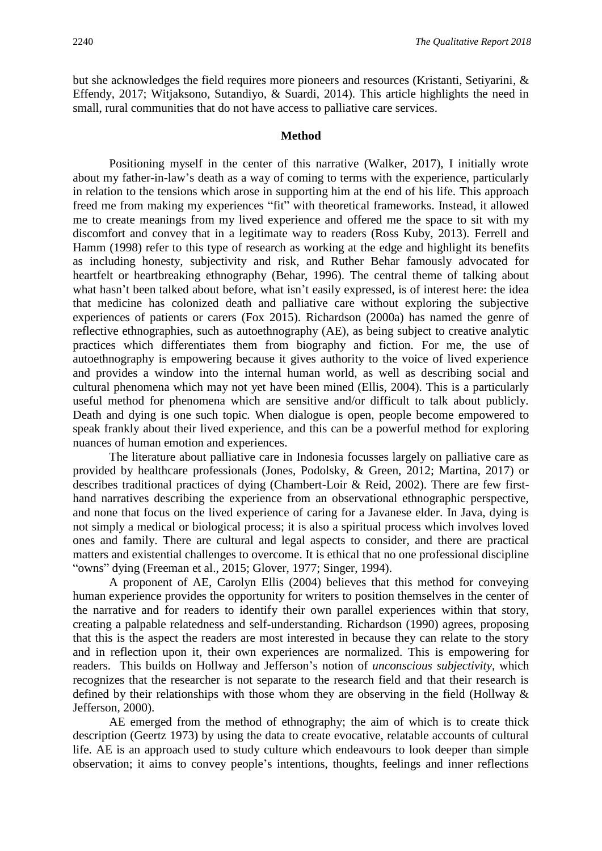but she acknowledges the field requires more pioneers and resources (Kristanti, Setiyarini, & Effendy, 2017; Witjaksono, Sutandiyo, & Suardi, 2014). This article highlights the need in small, rural communities that do not have access to palliative care services.

#### **Method**

Positioning myself in the center of this narrative (Walker, 2017), I initially wrote about my father-in-law's death as a way of coming to terms with the experience, particularly in relation to the tensions which arose in supporting him at the end of his life. This approach freed me from making my experiences "fit" with theoretical frameworks. Instead, it allowed me to create meanings from my lived experience and offered me the space to sit with my discomfort and convey that in a legitimate way to readers (Ross Kuby, 2013). Ferrell and Hamm (1998) refer to this type of research as working at the edge and highlight its benefits as including honesty, subjectivity and risk, and Ruther Behar famously advocated for heartfelt or heartbreaking ethnography (Behar, 1996). The central theme of talking about what hasn't been talked about before, what isn't easily expressed, is of interest here: the idea that medicine has colonized death and palliative care without exploring the subjective experiences of patients or carers (Fox 2015). Richardson (2000a) has named the genre of reflective ethnographies, such as autoethnography (AE), as being subject to creative analytic practices which differentiates them from biography and fiction. For me, the use of autoethnography is empowering because it gives authority to the voice of lived experience and provides a window into the internal human world, as well as describing social and cultural phenomena which may not yet have been mined (Ellis, 2004). This is a particularly useful method for phenomena which are sensitive and/or difficult to talk about publicly. Death and dying is one such topic. When dialogue is open, people become empowered to speak frankly about their lived experience, and this can be a powerful method for exploring nuances of human emotion and experiences.

The literature about palliative care in Indonesia focusses largely on palliative care as provided by healthcare professionals (Jones, Podolsky, & Green, 2012; Martina, 2017) or describes traditional practices of dying (Chambert-Loir & Reid, 2002). There are few firsthand narratives describing the experience from an observational ethnographic perspective, and none that focus on the lived experience of caring for a Javanese elder. In Java, dying is not simply a medical or biological process; it is also a spiritual process which involves loved ones and family. There are cultural and legal aspects to consider, and there are practical matters and existential challenges to overcome. It is ethical that no one professional discipline "owns" dying (Freeman et al., 2015; Glover, 1977; Singer, 1994).

A proponent of AE, Carolyn Ellis (2004) believes that this method for conveying human experience provides the opportunity for writers to position themselves in the center of the narrative and for readers to identify their own parallel experiences within that story, creating a palpable relatedness and self-understanding. Richardson (1990) agrees, proposing that this is the aspect the readers are most interested in because they can relate to the story and in reflection upon it, their own experiences are normalized. This is empowering for readers. This builds on Hollway and Jefferson's notion of *unconscious subjectivity*, which recognizes that the researcher is not separate to the research field and that their research is defined by their relationships with those whom they are observing in the field (Hollway & Jefferson, 2000).

AE emerged from the method of ethnography; the aim of which is to create thick description (Geertz 1973) by using the data to create evocative, relatable accounts of cultural life. AE is an approach used to study culture which endeavours to look deeper than simple observation; it aims to convey people's intentions, thoughts, feelings and inner reflections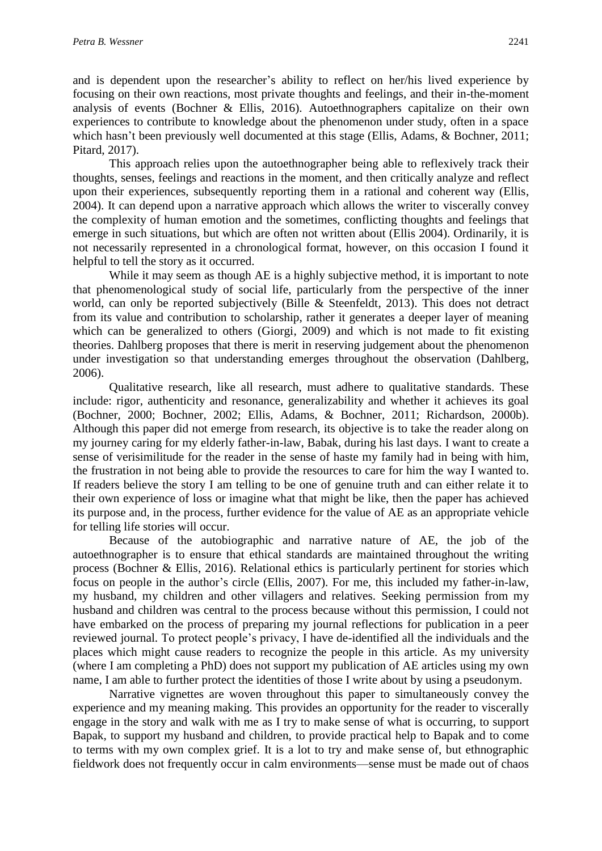and is dependent upon the researcher's ability to reflect on her/his lived experience by focusing on their own reactions, most private thoughts and feelings, and their in-the-moment analysis of events (Bochner & Ellis, 2016). Autoethnographers capitalize on their own experiences to contribute to knowledge about the phenomenon under study, often in a space which hasn't been previously well documented at this stage (Ellis, Adams, & Bochner, 2011; Pitard, 2017).

This approach relies upon the autoethnographer being able to reflexively track their thoughts, senses, feelings and reactions in the moment, and then critically analyze and reflect upon their experiences, subsequently reporting them in a rational and coherent way (Ellis, 2004). It can depend upon a narrative approach which allows the writer to viscerally convey the complexity of human emotion and the sometimes, conflicting thoughts and feelings that emerge in such situations, but which are often not written about (Ellis 2004). Ordinarily, it is not necessarily represented in a chronological format, however, on this occasion I found it helpful to tell the story as it occurred.

While it may seem as though AE is a highly subjective method, it is important to note that phenomenological study of social life, particularly from the perspective of the inner world, can only be reported subjectively (Bille & Steenfeldt, 2013). This does not detract from its value and contribution to scholarship, rather it generates a deeper layer of meaning which can be generalized to others (Giorgi, 2009) and which is not made to fit existing theories. Dahlberg proposes that there is merit in reserving judgement about the phenomenon under investigation so that understanding emerges throughout the observation (Dahlberg, 2006).

Qualitative research, like all research, must adhere to qualitative standards. These include: rigor, authenticity and resonance, generalizability and whether it achieves its goal (Bochner, 2000; Bochner, 2002; Ellis, Adams, & Bochner, 2011; Richardson, 2000b). Although this paper did not emerge from research, its objective is to take the reader along on my journey caring for my elderly father-in-law, Babak, during his last days. I want to create a sense of verisimilitude for the reader in the sense of haste my family had in being with him, the frustration in not being able to provide the resources to care for him the way I wanted to. If readers believe the story I am telling to be one of genuine truth and can either relate it to their own experience of loss or imagine what that might be like, then the paper has achieved its purpose and, in the process, further evidence for the value of AE as an appropriate vehicle for telling life stories will occur.

Because of the autobiographic and narrative nature of AE, the job of the autoethnographer is to ensure that ethical standards are maintained throughout the writing process (Bochner & Ellis, 2016). Relational ethics is particularly pertinent for stories which focus on people in the author's circle (Ellis, 2007). For me, this included my father-in-law, my husband, my children and other villagers and relatives. Seeking permission from my husband and children was central to the process because without this permission, I could not have embarked on the process of preparing my journal reflections for publication in a peer reviewed journal. To protect people's privacy, I have de-identified all the individuals and the places which might cause readers to recognize the people in this article. As my university (where I am completing a PhD) does not support my publication of AE articles using my own name, I am able to further protect the identities of those I write about by using a pseudonym.

Narrative vignettes are woven throughout this paper to simultaneously convey the experience and my meaning making. This provides an opportunity for the reader to viscerally engage in the story and walk with me as I try to make sense of what is occurring, to support Bapak, to support my husband and children, to provide practical help to Bapak and to come to terms with my own complex grief. It is a lot to try and make sense of, but ethnographic fieldwork does not frequently occur in calm environments—sense must be made out of chaos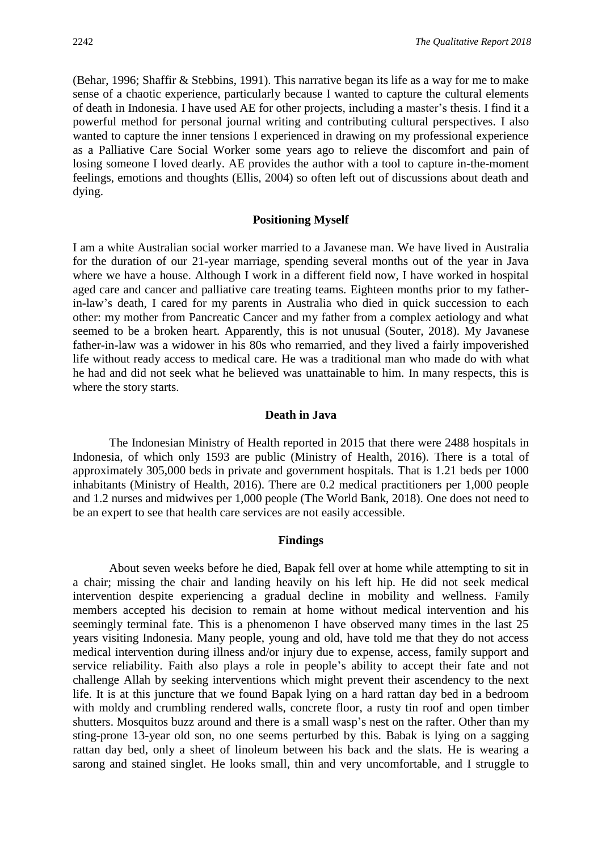(Behar, 1996; Shaffir & Stebbins, 1991). This narrative began its life as a way for me to make sense of a chaotic experience, particularly because I wanted to capture the cultural elements of death in Indonesia. I have used AE for other projects, including a master's thesis. I find it a powerful method for personal journal writing and contributing cultural perspectives. I also wanted to capture the inner tensions I experienced in drawing on my professional experience as a Palliative Care Social Worker some years ago to relieve the discomfort and pain of losing someone I loved dearly. AE provides the author with a tool to capture in-the-moment feelings, emotions and thoughts (Ellis, 2004) so often left out of discussions about death and dying.

#### **Positioning Myself**

I am a white Australian social worker married to a Javanese man. We have lived in Australia for the duration of our 21-year marriage, spending several months out of the year in Java where we have a house. Although I work in a different field now, I have worked in hospital aged care and cancer and palliative care treating teams. Eighteen months prior to my fatherin-law's death, I cared for my parents in Australia who died in quick succession to each other: my mother from Pancreatic Cancer and my father from a complex aetiology and what seemed to be a broken heart. Apparently, this is not unusual (Souter, 2018). My Javanese father-in-law was a widower in his 80s who remarried, and they lived a fairly impoverished life without ready access to medical care. He was a traditional man who made do with what he had and did not seek what he believed was unattainable to him. In many respects, this is where the story starts.

### **Death in Java**

The Indonesian Ministry of Health reported in 2015 that there were 2488 hospitals in Indonesia, of which only 1593 are public (Ministry of Health, 2016). There is a total of approximately 305,000 beds in private and government hospitals. That is 1.21 beds per 1000 inhabitants (Ministry of Health, 2016). There are 0.2 medical practitioners per 1,000 people and 1.2 nurses and midwives per 1,000 people (The World Bank, 2018). One does not need to be an expert to see that health care services are not easily accessible.

#### **Findings**

About seven weeks before he died, Bapak fell over at home while attempting to sit in a chair; missing the chair and landing heavily on his left hip. He did not seek medical intervention despite experiencing a gradual decline in mobility and wellness. Family members accepted his decision to remain at home without medical intervention and his seemingly terminal fate. This is a phenomenon I have observed many times in the last 25 years visiting Indonesia. Many people, young and old, have told me that they do not access medical intervention during illness and/or injury due to expense, access, family support and service reliability. Faith also plays a role in people's ability to accept their fate and not challenge Allah by seeking interventions which might prevent their ascendency to the next life. It is at this juncture that we found Bapak lying on a hard rattan day bed in a bedroom with moldy and crumbling rendered walls, concrete floor, a rusty tin roof and open timber shutters. Mosquitos buzz around and there is a small wasp's nest on the rafter. Other than my sting-prone 13-year old son, no one seems perturbed by this. Babak is lying on a sagging rattan day bed, only a sheet of linoleum between his back and the slats. He is wearing a sarong and stained singlet. He looks small, thin and very uncomfortable, and I struggle to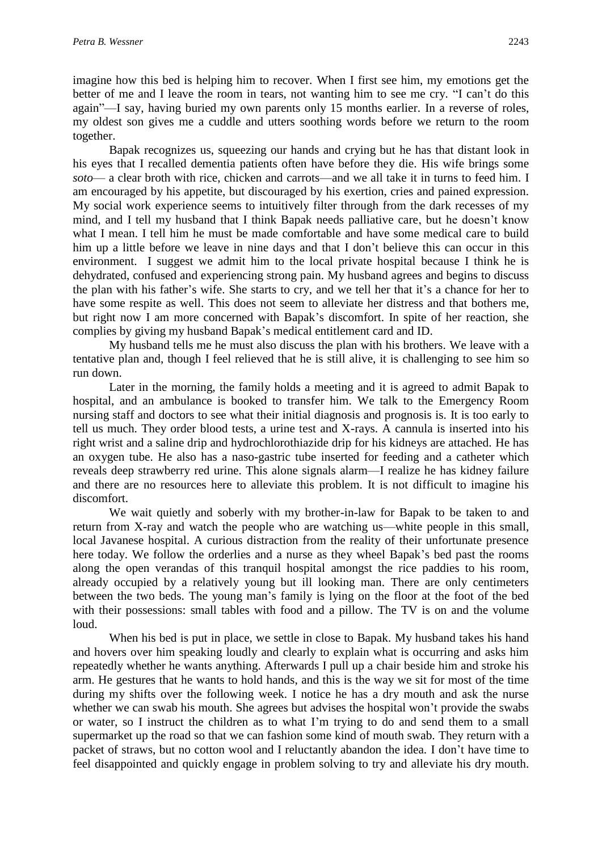imagine how this bed is helping him to recover. When I first see him, my emotions get the better of me and I leave the room in tears, not wanting him to see me cry. "I can't do this again"—I say, having buried my own parents only 15 months earlier. In a reverse of roles, my oldest son gives me a cuddle and utters soothing words before we return to the room together.

Bapak recognizes us, squeezing our hands and crying but he has that distant look in his eyes that I recalled dementia patients often have before they die. His wife brings some *soto*— a clear broth with rice, chicken and carrots—and we all take it in turns to feed him. I am encouraged by his appetite, but discouraged by his exertion, cries and pained expression. My social work experience seems to intuitively filter through from the dark recesses of my mind, and I tell my husband that I think Bapak needs palliative care, but he doesn't know what I mean. I tell him he must be made comfortable and have some medical care to build him up a little before we leave in nine days and that I don't believe this can occur in this environment. I suggest we admit him to the local private hospital because I think he is dehydrated, confused and experiencing strong pain. My husband agrees and begins to discuss the plan with his father's wife. She starts to cry, and we tell her that it's a chance for her to have some respite as well. This does not seem to alleviate her distress and that bothers me, but right now I am more concerned with Bapak's discomfort. In spite of her reaction, she complies by giving my husband Bapak's medical entitlement card and ID.

My husband tells me he must also discuss the plan with his brothers. We leave with a tentative plan and, though I feel relieved that he is still alive, it is challenging to see him so run down.

Later in the morning, the family holds a meeting and it is agreed to admit Bapak to hospital, and an ambulance is booked to transfer him. We talk to the Emergency Room nursing staff and doctors to see what their initial diagnosis and prognosis is. It is too early to tell us much. They order blood tests, a urine test and X-rays. A cannula is inserted into his right wrist and a saline drip and hydrochlorothiazide drip for his kidneys are attached. He has an oxygen tube. He also has a naso-gastric tube inserted for feeding and a catheter which reveals deep strawberry red urine. This alone signals alarm—I realize he has kidney failure and there are no resources here to alleviate this problem. It is not difficult to imagine his discomfort.

We wait quietly and soberly with my brother-in-law for Bapak to be taken to and return from X-ray and watch the people who are watching us—white people in this small, local Javanese hospital. A curious distraction from the reality of their unfortunate presence here today. We follow the orderlies and a nurse as they wheel Bapak's bed past the rooms along the open verandas of this tranquil hospital amongst the rice paddies to his room, already occupied by a relatively young but ill looking man. There are only centimeters between the two beds. The young man's family is lying on the floor at the foot of the bed with their possessions: small tables with food and a pillow. The TV is on and the volume loud.

When his bed is put in place, we settle in close to Bapak. My husband takes his hand and hovers over him speaking loudly and clearly to explain what is occurring and asks him repeatedly whether he wants anything. Afterwards I pull up a chair beside him and stroke his arm. He gestures that he wants to hold hands, and this is the way we sit for most of the time during my shifts over the following week. I notice he has a dry mouth and ask the nurse whether we can swab his mouth. She agrees but advises the hospital won't provide the swabs or water, so I instruct the children as to what I'm trying to do and send them to a small supermarket up the road so that we can fashion some kind of mouth swab. They return with a packet of straws, but no cotton wool and I reluctantly abandon the idea. I don't have time to feel disappointed and quickly engage in problem solving to try and alleviate his dry mouth.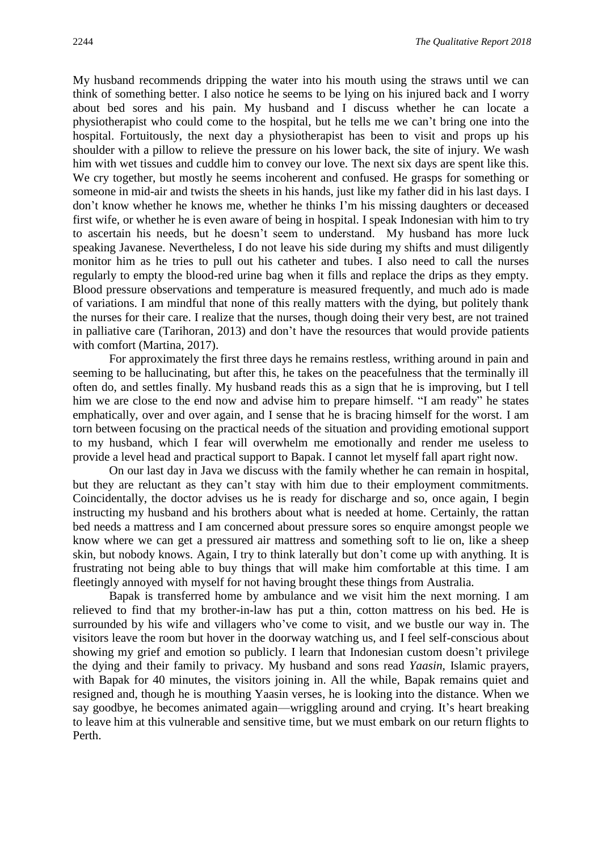My husband recommends dripping the water into his mouth using the straws until we can think of something better. I also notice he seems to be lying on his injured back and I worry about bed sores and his pain. My husband and I discuss whether he can locate a physiotherapist who could come to the hospital, but he tells me we can't bring one into the hospital. Fortuitously, the next day a physiotherapist has been to visit and props up his shoulder with a pillow to relieve the pressure on his lower back, the site of injury. We wash him with wet tissues and cuddle him to convey our love. The next six days are spent like this. We cry together, but mostly he seems incoherent and confused. He grasps for something or someone in mid-air and twists the sheets in his hands, just like my father did in his last days. I don't know whether he knows me, whether he thinks I'm his missing daughters or deceased first wife, or whether he is even aware of being in hospital. I speak Indonesian with him to try to ascertain his needs, but he doesn't seem to understand. My husband has more luck speaking Javanese. Nevertheless, I do not leave his side during my shifts and must diligently monitor him as he tries to pull out his catheter and tubes. I also need to call the nurses regularly to empty the blood-red urine bag when it fills and replace the drips as they empty. Blood pressure observations and temperature is measured frequently, and much ado is made of variations. I am mindful that none of this really matters with the dying, but politely thank the nurses for their care. I realize that the nurses, though doing their very best, are not trained in palliative care (Tarihoran, 2013) and don't have the resources that would provide patients with comfort (Martina, 2017).

For approximately the first three days he remains restless, writhing around in pain and seeming to be hallucinating, but after this, he takes on the peacefulness that the terminally ill often do, and settles finally. My husband reads this as a sign that he is improving, but I tell him we are close to the end now and advise him to prepare himself. "I am ready" he states emphatically, over and over again, and I sense that he is bracing himself for the worst. I am torn between focusing on the practical needs of the situation and providing emotional support to my husband, which I fear will overwhelm me emotionally and render me useless to provide a level head and practical support to Bapak. I cannot let myself fall apart right now.

On our last day in Java we discuss with the family whether he can remain in hospital, but they are reluctant as they can't stay with him due to their employment commitments. Coincidentally, the doctor advises us he is ready for discharge and so, once again, I begin instructing my husband and his brothers about what is needed at home. Certainly, the rattan bed needs a mattress and I am concerned about pressure sores so enquire amongst people we know where we can get a pressured air mattress and something soft to lie on, like a sheep skin, but nobody knows. Again, I try to think laterally but don't come up with anything. It is frustrating not being able to buy things that will make him comfortable at this time. I am fleetingly annoyed with myself for not having brought these things from Australia.

Bapak is transferred home by ambulance and we visit him the next morning. I am relieved to find that my brother-in-law has put a thin, cotton mattress on his bed. He is surrounded by his wife and villagers who've come to visit, and we bustle our way in. The visitors leave the room but hover in the doorway watching us, and I feel self-conscious about showing my grief and emotion so publicly. I learn that Indonesian custom doesn't privilege the dying and their family to privacy. My husband and sons read *Yaasin*, Islamic prayers, with Bapak for 40 minutes, the visitors joining in. All the while, Bapak remains quiet and resigned and, though he is mouthing Yaasin verses, he is looking into the distance. When we say goodbye, he becomes animated again—wriggling around and crying. It's heart breaking to leave him at this vulnerable and sensitive time, but we must embark on our return flights to Perth.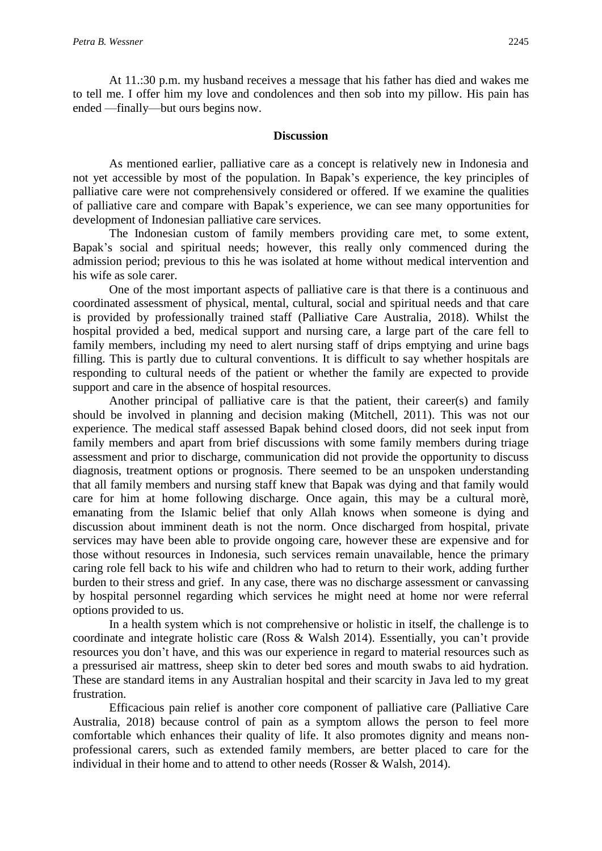At 11.:30 p.m. my husband receives a message that his father has died and wakes me to tell me. I offer him my love and condolences and then sob into my pillow. His pain has ended —finally—but ours begins now.

#### **Discussion**

As mentioned earlier, palliative care as a concept is relatively new in Indonesia and not yet accessible by most of the population. In Bapak's experience, the key principles of palliative care were not comprehensively considered or offered. If we examine the qualities of palliative care and compare with Bapak's experience, we can see many opportunities for development of Indonesian palliative care services.

The Indonesian custom of family members providing care met, to some extent, Bapak's social and spiritual needs; however, this really only commenced during the admission period; previous to this he was isolated at home without medical intervention and his wife as sole carer.

One of the most important aspects of palliative care is that there is a continuous and coordinated assessment of physical, mental, cultural, social and spiritual needs and that care is provided by professionally trained staff (Palliative Care Australia, 2018). Whilst the hospital provided a bed, medical support and nursing care, a large part of the care fell to family members, including my need to alert nursing staff of drips emptying and urine bags filling. This is partly due to cultural conventions. It is difficult to say whether hospitals are responding to cultural needs of the patient or whether the family are expected to provide support and care in the absence of hospital resources.

Another principal of palliative care is that the patient, their career(s) and family should be involved in planning and decision making (Mitchell, 2011). This was not our experience. The medical staff assessed Bapak behind closed doors, did not seek input from family members and apart from brief discussions with some family members during triage assessment and prior to discharge, communication did not provide the opportunity to discuss diagnosis, treatment options or prognosis. There seemed to be an unspoken understanding that all family members and nursing staff knew that Bapak was dying and that family would care for him at home following discharge. Once again, this may be a cultural morè, emanating from the Islamic belief that only Allah knows when someone is dying and discussion about imminent death is not the norm. Once discharged from hospital, private services may have been able to provide ongoing care, however these are expensive and for those without resources in Indonesia, such services remain unavailable, hence the primary caring role fell back to his wife and children who had to return to their work, adding further burden to their stress and grief. In any case, there was no discharge assessment or canvassing by hospital personnel regarding which services he might need at home nor were referral options provided to us.

In a health system which is not comprehensive or holistic in itself, the challenge is to coordinate and integrate holistic care (Ross & Walsh 2014). Essentially, you can't provide resources you don't have, and this was our experience in regard to material resources such as a pressurised air mattress, sheep skin to deter bed sores and mouth swabs to aid hydration. These are standard items in any Australian hospital and their scarcity in Java led to my great frustration.

Efficacious pain relief is another core component of palliative care (Palliative Care Australia, 2018) because control of pain as a symptom allows the person to feel more comfortable which enhances their quality of life. It also promotes dignity and means nonprofessional carers, such as extended family members, are better placed to care for the individual in their home and to attend to other needs (Rosser & Walsh, 2014).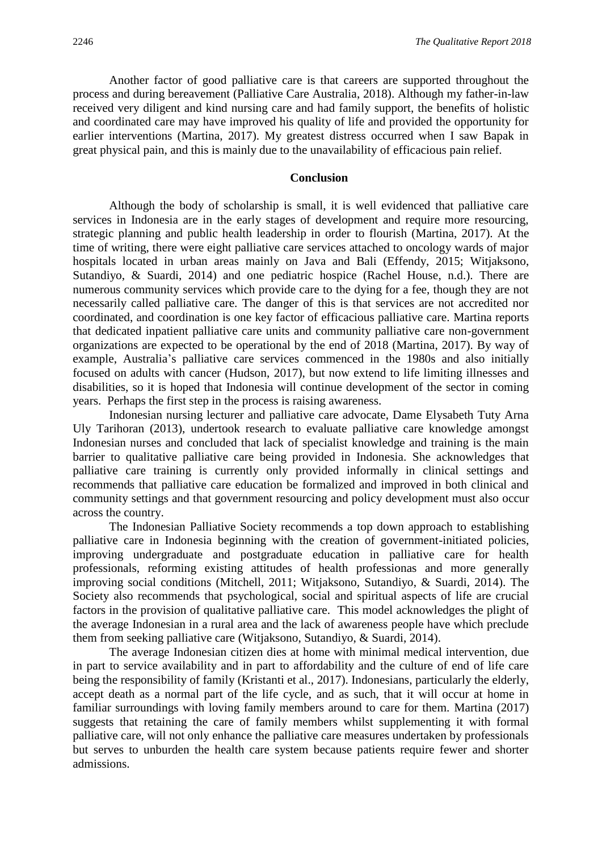Another factor of good palliative care is that careers are supported throughout the process and during bereavement (Palliative Care Australia, 2018). Although my father-in-law received very diligent and kind nursing care and had family support, the benefits of holistic and coordinated care may have improved his quality of life and provided the opportunity for earlier interventions (Martina, 2017). My greatest distress occurred when I saw Bapak in great physical pain, and this is mainly due to the unavailability of efficacious pain relief.

#### **Conclusion**

Although the body of scholarship is small, it is well evidenced that palliative care services in Indonesia are in the early stages of development and require more resourcing, strategic planning and public health leadership in order to flourish (Martina, 2017). At the time of writing, there were eight palliative care services attached to oncology wards of major hospitals located in urban areas mainly on Java and Bali (Effendy, 2015; Witjaksono, Sutandiyo, & Suardi, 2014) and one pediatric hospice (Rachel House, n.d.). There are numerous community services which provide care to the dying for a fee, though they are not necessarily called palliative care. The danger of this is that services are not accredited nor coordinated, and coordination is one key factor of efficacious palliative care. Martina reports that dedicated inpatient palliative care units and community palliative care non-government organizations are expected to be operational by the end of 2018 (Martina, 2017). By way of example, Australia's palliative care services commenced in the 1980s and also initially focused on adults with cancer (Hudson, 2017), but now extend to life limiting illnesses and disabilities, so it is hoped that Indonesia will continue development of the sector in coming years. Perhaps the first step in the process is raising awareness.

Indonesian nursing lecturer and palliative care advocate, Dame Elysabeth Tuty Arna Uly Tarihoran (2013), undertook research to evaluate palliative care knowledge amongst Indonesian nurses and concluded that lack of specialist knowledge and training is the main barrier to qualitative palliative care being provided in Indonesia. She acknowledges that palliative care training is currently only provided informally in clinical settings and recommends that palliative care education be formalized and improved in both clinical and community settings and that government resourcing and policy development must also occur across the country.

The Indonesian Palliative Society recommends a top down approach to establishing palliative care in Indonesia beginning with the creation of government-initiated policies, improving undergraduate and postgraduate education in palliative care for health professionals, reforming existing attitudes of health professionas and more generally improving social conditions (Mitchell, 2011; Witjaksono, Sutandiyo, & Suardi, 2014). The Society also recommends that psychological, social and spiritual aspects of life are crucial factors in the provision of qualitative palliative care. This model acknowledges the plight of the average Indonesian in a rural area and the lack of awareness people have which preclude them from seeking palliative care (Witjaksono, Sutandiyo, & Suardi, 2014).

The average Indonesian citizen dies at home with minimal medical intervention, due in part to service availability and in part to affordability and the culture of end of life care being the responsibility of family (Kristanti et al., 2017). Indonesians, particularly the elderly, accept death as a normal part of the life cycle, and as such, that it will occur at home in familiar surroundings with loving family members around to care for them. Martina (2017) suggests that retaining the care of family members whilst supplementing it with formal palliative care, will not only enhance the palliative care measures undertaken by professionals but serves to unburden the health care system because patients require fewer and shorter admissions.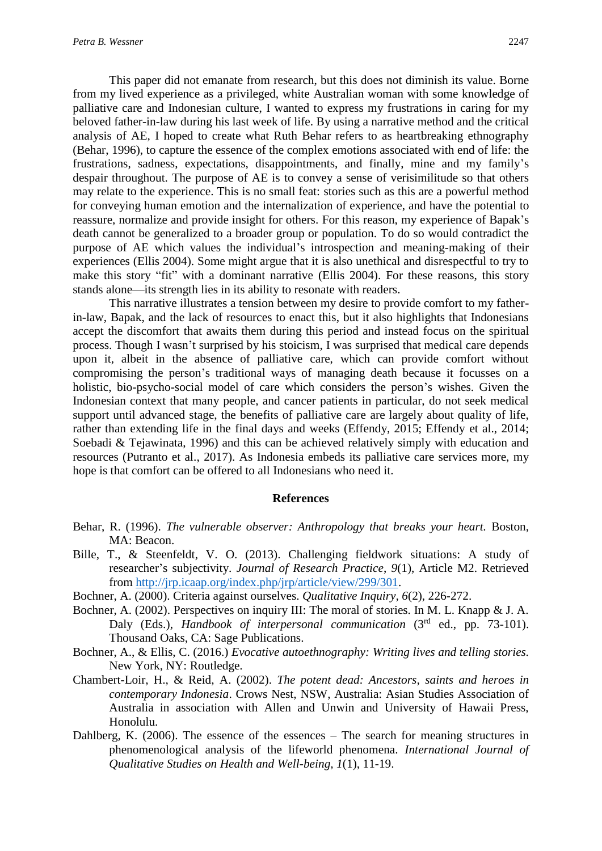This paper did not emanate from research, but this does not diminish its value. Borne from my lived experience as a privileged, white Australian woman with some knowledge of palliative care and Indonesian culture, I wanted to express my frustrations in caring for my beloved father-in-law during his last week of life. By using a narrative method and the critical analysis of AE, I hoped to create what Ruth Behar refers to as heartbreaking ethnography (Behar, 1996), to capture the essence of the complex emotions associated with end of life: the frustrations, sadness, expectations, disappointments, and finally, mine and my family's despair throughout. The purpose of AE is to convey a sense of verisimilitude so that others may relate to the experience. This is no small feat: stories such as this are a powerful method for conveying human emotion and the internalization of experience, and have the potential to reassure, normalize and provide insight for others. For this reason, my experience of Bapak's death cannot be generalized to a broader group or population. To do so would contradict the purpose of AE which values the individual's introspection and meaning-making of their experiences (Ellis 2004). Some might argue that it is also unethical and disrespectful to try to make this story "fit" with a dominant narrative (Ellis 2004). For these reasons, this story stands alone—its strength lies in its ability to resonate with readers.

This narrative illustrates a tension between my desire to provide comfort to my fatherin-law, Bapak, and the lack of resources to enact this, but it also highlights that Indonesians accept the discomfort that awaits them during this period and instead focus on the spiritual process. Though I wasn't surprised by his stoicism, I was surprised that medical care depends upon it, albeit in the absence of palliative care, which can provide comfort without compromising the person's traditional ways of managing death because it focusses on a holistic, bio-psycho-social model of care which considers the person's wishes. Given the Indonesian context that many people, and cancer patients in particular, do not seek medical support until advanced stage, the benefits of palliative care are largely about quality of life, rather than extending life in the final days and weeks (Effendy, 2015; Effendy et al., 2014; Soebadi & Tejawinata, 1996) and this can be achieved relatively simply with education and resources (Putranto et al., 2017). As Indonesia embeds its palliative care services more, my hope is that comfort can be offered to all Indonesians who need it.

#### **References**

- Behar, R. (1996). *The vulnerable observer: Anthropology that breaks your heart.* Boston, MA: Beacon.
- Bille, T., & Steenfeldt, V. O. (2013). Challenging fieldwork situations: A study of researcher's subjectivity. *Journal of Research Practice*, *9*(1), Article M2. Retrieved from [http://jrp.icaap.org/index.php/jrp/article/view/299/301.](http://jrp.icaap.org/index.php/jrp/article/view/299/301)
- Bochner, A. (2000). Criteria against ourselves. *Qualitative Inquiry, 6*(2), 226-272.
- Bochner, A. (2002). Perspectives on inquiry III: The moral of stories. In M. L. Knapp & J. A. Daly (Eds.), *Handbook of interpersonal communication* (3rd ed., pp. 73-101). Thousand Oaks, CA: Sage Publications.
- Bochner, A., & Ellis, C. (2016.) *Evocative autoethnography: Writing lives and telling stories.* New York, NY: Routledge.
- Chambert-Loir, H., & Reid, A. (2002). *The potent dead: Ancestors, saints and heroes in contemporary Indonesia*. Crows Nest, NSW, Australia: Asian Studies Association of Australia in association with Allen and Unwin and University of Hawaii Press, Honolulu.
- Dahlberg, K. (2006). The essence of the essences The search for meaning structures in phenomenological analysis of the lifeworld phenomena. *International Journal of Qualitative Studies on Health and Well-being, 1*(1), 11-19.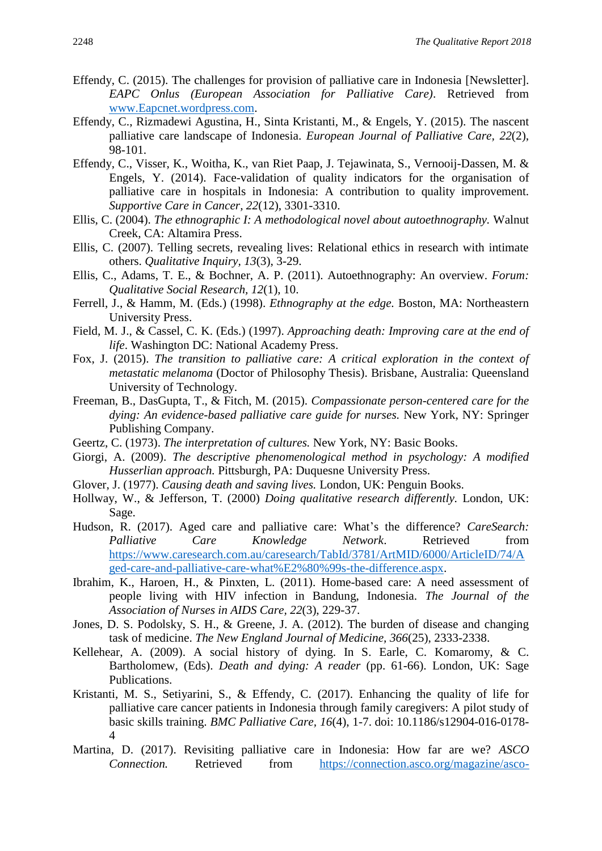- Effendy, C. (2015). The challenges for provision of palliative care in Indonesia [Newsletter]. *EAPC Onlus (European Association for Palliative Care)*. Retrieved from [www.Eapcnet.wordpress.com.](http://www.eapcnet.wordpress.com/)
- Effendy, C., Rizmadewi Agustina, H., Sinta Kristanti, M., & Engels, Y. (2015). The nascent palliative care landscape of Indonesia. *European Journal of Palliative Care, 22*(2), 98-101.
- Effendy, C., Visser, K., Woitha, K., van Riet Paap, J. Tejawinata, S., Vernooij-Dassen, M. & Engels, Y. (2014). Face-validation of quality indicators for the organisation of palliative care in hospitals in Indonesia: A contribution to quality improvement. *Supportive Care in Cancer, 22*(12), 3301-3310.
- Ellis, C. (2004). *The ethnographic I: A methodological novel about autoethnography.* Walnut Creek, CA: Altamira Press.
- Ellis, C. (2007). Telling secrets, revealing lives: Relational ethics in research with intimate others. *Qualitative Inquiry, 13*(3), 3-29.
- Ellis, C., Adams, T. E., & Bochner, A. P. (2011). Autoethnography: An overview. *Forum: Qualitative Social Research, 12*(1), 10.
- Ferrell, J., & Hamm, M. (Eds.) (1998). *Ethnography at the edge.* Boston, MA: Northeastern University Press.
- Field, M. J., & Cassel, C. K. (Eds.) (1997). *Approaching death: Improving care at the end of life*. Washington DC: National Academy Press.
- Fox, J. (2015). *The transition to palliative care: A critical exploration in the context of metastatic melanoma* (Doctor of Philosophy Thesis). Brisbane, Australia: Queensland University of Technology.
- Freeman, B., DasGupta, T., & Fitch, M. (2015). *Compassionate person-centered care for the dying: An evidence-based palliative care guide for nurses.* New York, NY: Springer Publishing Company.
- Geertz, C. (1973). *The interpretation of cultures.* New York, NY: Basic Books.
- Giorgi, A. (2009). *The descriptive phenomenological method in psychology: A modified Husserlian approach.* Pittsburgh, PA: Duquesne University Press.
- Glover, J. (1977). *Causing death and saving lives.* London, UK: Penguin Books.
- Hollway, W., & Jefferson, T. (2000) *Doing qualitative research differently.* London, UK: Sage.
- Hudson, R. (2017). Aged care and palliative care: What's the difference? *CareSearch: Palliative Care Knowledge Network*. Retrieved from [https://www.caresearch.com.au/caresearch/TabId/3781/ArtMID/6000/ArticleID/74/A](https://www.caresearch.com.au/caresearch/TabId/3781/ArtMID/6000/ArticleID/74/Aged-care-and-palliative-care-what%E2%80%99s-the-difference.aspx) [ged-care-and-palliative-care-what%E2%80%99s-the-difference.aspx.](https://www.caresearch.com.au/caresearch/TabId/3781/ArtMID/6000/ArticleID/74/Aged-care-and-palliative-care-what%E2%80%99s-the-difference.aspx)
- Ibrahim, K., Haroen, H., & Pinxten, L. (2011). Home-based care: A need assessment of people living with HIV infection in Bandung, Indonesia. *The Journal of the Association of Nurses in AIDS Care, 22*(3), 229-37.
- Jones, D. S. Podolsky, S. H., & Greene, J. A. (2012). The burden of disease and changing task of medicine. *The New England Journal of Medicine, 366*(25), 2333-2338.
- Kellehear, A. (2009). A social history of dying. In S. Earle, C. Komaromy, & C. Bartholomew, (Eds). *Death and dying: A reader* (pp. 61-66). London, UK: Sage Publications.
- Kristanti, M. S., Setiyarini, S., & Effendy, C. (2017). Enhancing the quality of life for palliative care cancer patients in Indonesia through family caregivers: A pilot study of basic skills training. *BMC Palliative Care, 16*(4), 1-7. doi: 10.1186/s12904-016-0178- 4
- Martina, D. (2017). Revisiting palliative care in Indonesia: How far are we? *ASCO Connection.* Retrieved from [https://connection.asco.org/magazine/asco-](https://connection.asco.org/magazine/asco-international/revisiting-palliative-care-indonesia-how-far-are-we)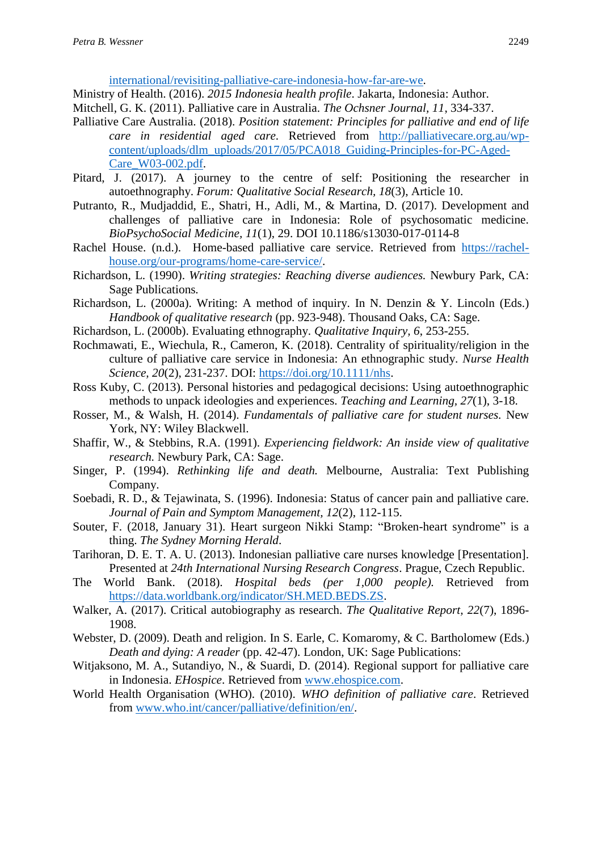[international/revisiting-palliative-care-indonesia-how-far-are-we.](https://connection.asco.org/magazine/asco-international/revisiting-palliative-care-indonesia-how-far-are-we)

- Ministry of Health. (2016). *2015 Indonesia health profile*. Jakarta, Indonesia: Author.
- Mitchell, G. K. (2011). Palliative care in Australia. *The Ochsner Journal, 11*, 334-337.
- Palliative Care Australia. (2018). *Position statement: Principles for palliative and end of life care in residential aged care.* Retrieved from [http://palliativecare.org.au/wp](http://palliativecare.org.au/wp-content/uploads/dlm_uploads/2017/05/PCA018_Guiding-Principles-for-PC-Aged-Care_W03-002.pdf)[content/uploads/dlm\\_uploads/2017/05/PCA018\\_Guiding-Principles-for-PC-Aged-](http://palliativecare.org.au/wp-content/uploads/dlm_uploads/2017/05/PCA018_Guiding-Principles-for-PC-Aged-Care_W03-002.pdf)[Care\\_W03-002.pdf.](http://palliativecare.org.au/wp-content/uploads/dlm_uploads/2017/05/PCA018_Guiding-Principles-for-PC-Aged-Care_W03-002.pdf)
- Pitard, J. (2017). A journey to the centre of self: Positioning the researcher in autoethnography. *Forum: Qualitative Social Research, 18*(3), Article 10.
- Putranto, R., Mudjaddid, E., Shatri, H., Adli, M., & Martina, D. (2017). Development and challenges of palliative care in Indonesia: Role of psychosomatic medicine. *BioPsychoSocial Medicine, 11*(1), 29. DOI 10.1186/s13030-017-0114-8
- Rachel House. (n.d.). Home-based palliative care service. Retrieved from [https://rachel](https://rachel-house.org/our-programs/home-care-service/)[house.org/our-programs/home-care-service/.](https://rachel-house.org/our-programs/home-care-service/)
- Richardson, L. (1990). *Writing strategies: Reaching diverse audiences.* Newbury Park, CA: Sage Publications*.*
- Richardson, L. (2000a). Writing: A method of inquiry. In N. Denzin & Y. Lincoln (Eds.) *Handbook of qualitative research* (pp. 923-948). Thousand Oaks, CA: Sage.
- Richardson, L. (2000b). Evaluating ethnography. *Qualitative Inquiry, 6*, 253-255.
- Rochmawati, E., Wiechula, R., Cameron, K. (2018). Centrality of spirituality/religion in the culture of palliative care service in Indonesia: An ethnographic study. *Nurse Health Science, 20*(2), 231-237. DOI: [https://doi.org/10.1111/nhs.](https://doi.org/10.1111/nhs)
- Ross Kuby, C. (2013). Personal histories and pedagogical decisions: Using autoethnographic methods to unpack ideologies and experiences. *Teaching and Learning, 27*(1), 3-18.
- Rosser, M., & Walsh, H. (2014). *Fundamentals of palliative care for student nurses.* New York, NY: Wiley Blackwell.
- Shaffir, W., & Stebbins, R.A. (1991). *Experiencing fieldwork: An inside view of qualitative research.* Newbury Park, CA: Sage.
- Singer, P. (1994). *Rethinking life and death.* Melbourne, Australia: Text Publishing Company.
- Soebadi, R. D., & Tejawinata, S. (1996). Indonesia: Status of cancer pain and palliative care. *Journal of Pain and Symptom Management, 12*(2), 112-115.
- Souter, F. (2018, January 31). Heart surgeon Nikki Stamp: "Broken-heart syndrome" is a thing. *The Sydney Morning Herald*.
- Tarihoran, D. E. T. A. U. (2013). Indonesian palliative care nurses knowledge [Presentation]. Presented at *24th International Nursing Research Congress*. Prague, Czech Republic.
- The World Bank. (2018). *Hospital beds (per 1,000 people).* Retrieved from [https://data.worldbank.org/indicator/SH.MED.BEDS.ZS.](https://data.worldbank.org/indicator/SH.MED.BEDS.ZS)
- Walker, A. (2017). Critical autobiography as research. *The Qualitative Report, 22*(7), 1896- 1908.
- Webster, D. (2009). Death and religion. In S. Earle, C. Komaromy, & C. Bartholomew (Eds.) *Death and dying: A reader* (pp. 42-47). London, UK: Sage Publications:
- Witjaksono, M. A., Sutandiyo, N., & Suardi, D. (2014). Regional support for palliative care in Indonesia. *EHospice*. Retrieved from [www.ehospice.com.](http://www.ehospice.com/)
- World Health Organisation (WHO). (2010). *WHO definition of palliative care*. Retrieved from [www.who.int/cancer/palliative/definition/en/.](http://www.who.int/cancer/palliative/definition/en/)